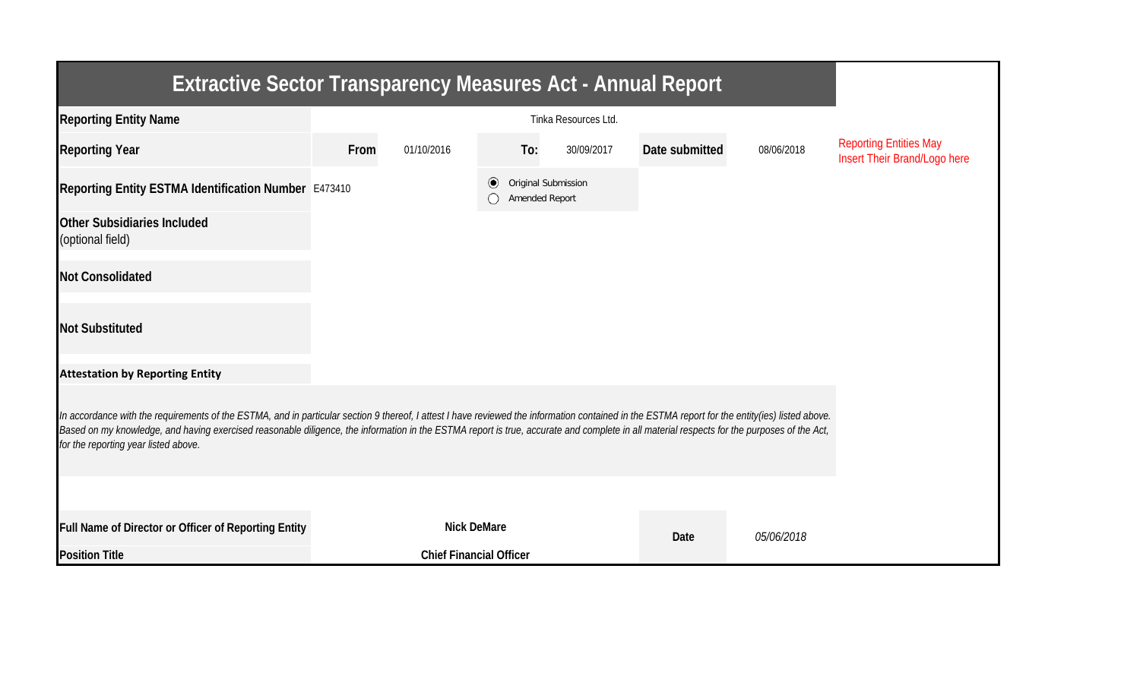| <b>Extractive Sector Transparency Measures Act - Annual Report</b>                                                                                                                                                                                                                                                                                                                                                                    |      |                                |                                                  |     |            |                |            |                                                               |  |  |
|---------------------------------------------------------------------------------------------------------------------------------------------------------------------------------------------------------------------------------------------------------------------------------------------------------------------------------------------------------------------------------------------------------------------------------------|------|--------------------------------|--------------------------------------------------|-----|------------|----------------|------------|---------------------------------------------------------------|--|--|
| <b>Reporting Entity Name</b>                                                                                                                                                                                                                                                                                                                                                                                                          |      |                                |                                                  |     |            |                |            |                                                               |  |  |
| <b>Reporting Year</b>                                                                                                                                                                                                                                                                                                                                                                                                                 | From | 01/10/2016                     |                                                  | To: | 30/09/2017 | Date submitted | 08/06/2018 | <b>Reporting Entities May</b><br>Insert Their Brand/Logo here |  |  |
| Reporting Entity ESTMA Identification Number E473410                                                                                                                                                                                                                                                                                                                                                                                  |      |                                | Original Submission<br>$\odot$<br>Amended Report |     |            |                |            |                                                               |  |  |
| <b>Other Subsidiaries Included</b><br>(optional field)                                                                                                                                                                                                                                                                                                                                                                                |      |                                |                                                  |     |            |                |            |                                                               |  |  |
| <b>Not Consolidated</b>                                                                                                                                                                                                                                                                                                                                                                                                               |      |                                |                                                  |     |            |                |            |                                                               |  |  |
| <b>Not Substituted</b>                                                                                                                                                                                                                                                                                                                                                                                                                |      |                                |                                                  |     |            |                |            |                                                               |  |  |
| <b>Attestation by Reporting Entity</b>                                                                                                                                                                                                                                                                                                                                                                                                |      |                                |                                                  |     |            |                |            |                                                               |  |  |
| In accordance with the requirements of the ESTMA, and in particular section 9 thereof, I attest I have reviewed the information contained in the ESTMA report for the entity(ies) listed above.<br>Based on my knowledge, and having exercised reasonable diligence, the information in the ESTMA report is true, accurate and complete in all material respects for the purposes of the Act,<br>for the reporting year listed above. |      |                                |                                                  |     |            |                |            |                                                               |  |  |
|                                                                                                                                                                                                                                                                                                                                                                                                                                       |      |                                |                                                  |     |            |                |            |                                                               |  |  |
| Full Name of Director or Officer of Reporting Entity                                                                                                                                                                                                                                                                                                                                                                                  |      | <b>Nick DeMare</b>             |                                                  |     |            | Date           | 05/06/2018 |                                                               |  |  |
| <b>Position Title</b>                                                                                                                                                                                                                                                                                                                                                                                                                 |      | <b>Chief Financial Officer</b> |                                                  |     |            |                |            |                                                               |  |  |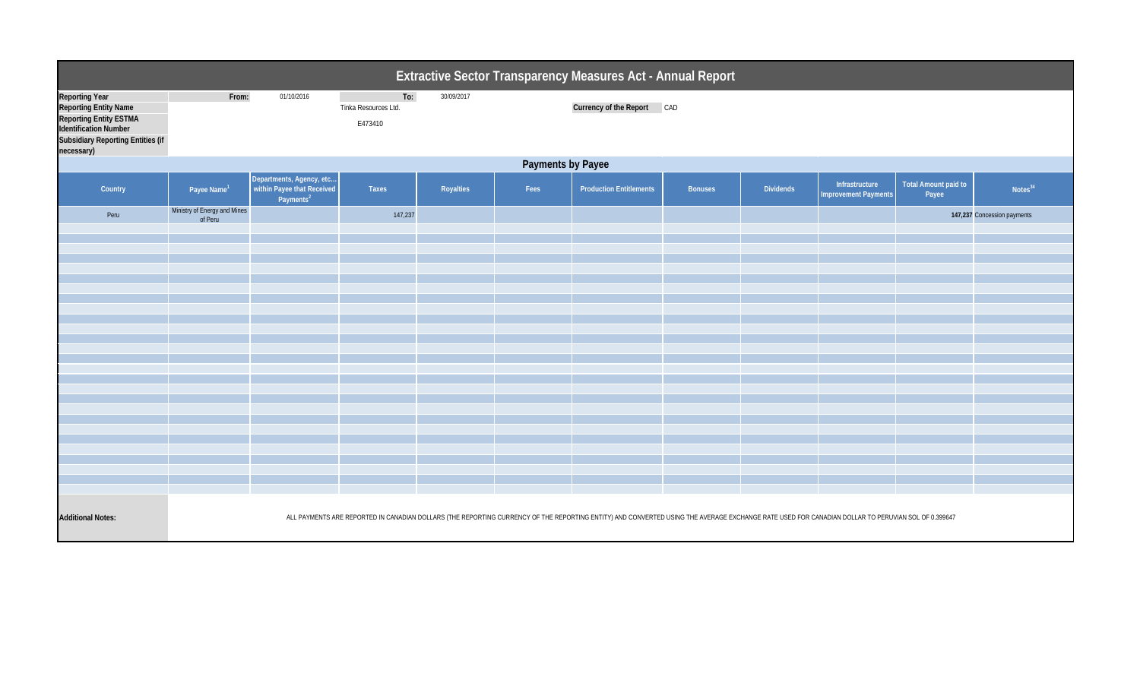| Extractive Sector Transparency Measures Act - Annual Report                                                                                                 |                                         |                                                                                     |                                        |            |      |                                                                                                                                                                                                   |                |                  |                                               |                               |                             |  |
|-------------------------------------------------------------------------------------------------------------------------------------------------------------|-----------------------------------------|-------------------------------------------------------------------------------------|----------------------------------------|------------|------|---------------------------------------------------------------------------------------------------------------------------------------------------------------------------------------------------|----------------|------------------|-----------------------------------------------|-------------------------------|-----------------------------|--|
| <b>Reporting Year</b><br>Reporting Entity Name<br>Reporting Entity ESTMA<br>Identification Number<br><b>Subsidiary Reporting Entities (if</b><br>necessary) | From:                                   | 01/10/2016                                                                          | To:<br>Tinka Resources Ltd.<br>E473410 | 30/09/2017 |      | Currency of the Report CAD                                                                                                                                                                        |                |                  |                                               |                               |                             |  |
| <b>Payments by Payee</b>                                                                                                                                    |                                         |                                                                                     |                                        |            |      |                                                                                                                                                                                                   |                |                  |                                               |                               |                             |  |
| Country                                                                                                                                                     | Payee Name <sup>1</sup>                 | Departments, Agency, etc  <br>  within Payee that Received<br>Payments <sup>2</sup> | Taxes                                  | Royalties  | Fees | <b>Production Entitlements</b>                                                                                                                                                                    | <b>Bonuses</b> | <b>Dividends</b> | Infrastructure<br><b>Improvement Payments</b> | Total Amount paid to<br>Payee | Notes <sup>34</sup>         |  |
| Peru                                                                                                                                                        | Ministry of Energy and Mines<br>of Peru |                                                                                     | 147,237                                |            |      |                                                                                                                                                                                                   |                |                  |                                               |                               | 147,237 Concession payments |  |
|                                                                                                                                                             |                                         |                                                                                     |                                        |            |      |                                                                                                                                                                                                   |                |                  |                                               |                               |                             |  |
|                                                                                                                                                             |                                         |                                                                                     |                                        |            |      |                                                                                                                                                                                                   |                |                  |                                               |                               |                             |  |
|                                                                                                                                                             |                                         |                                                                                     |                                        |            |      |                                                                                                                                                                                                   |                |                  |                                               |                               |                             |  |
|                                                                                                                                                             |                                         |                                                                                     |                                        |            |      |                                                                                                                                                                                                   |                |                  |                                               |                               |                             |  |
|                                                                                                                                                             |                                         |                                                                                     |                                        |            |      |                                                                                                                                                                                                   |                |                  |                                               |                               |                             |  |
|                                                                                                                                                             |                                         |                                                                                     |                                        |            |      |                                                                                                                                                                                                   |                |                  |                                               |                               |                             |  |
|                                                                                                                                                             |                                         |                                                                                     |                                        |            |      |                                                                                                                                                                                                   |                |                  |                                               |                               |                             |  |
|                                                                                                                                                             |                                         |                                                                                     |                                        |            |      |                                                                                                                                                                                                   |                |                  |                                               |                               |                             |  |
|                                                                                                                                                             |                                         |                                                                                     |                                        |            |      |                                                                                                                                                                                                   |                |                  |                                               |                               |                             |  |
|                                                                                                                                                             |                                         |                                                                                     |                                        |            |      |                                                                                                                                                                                                   |                |                  |                                               |                               |                             |  |
|                                                                                                                                                             |                                         |                                                                                     |                                        |            |      |                                                                                                                                                                                                   |                |                  |                                               |                               |                             |  |
|                                                                                                                                                             |                                         |                                                                                     |                                        |            |      |                                                                                                                                                                                                   |                |                  |                                               |                               |                             |  |
|                                                                                                                                                             |                                         |                                                                                     |                                        |            |      |                                                                                                                                                                                                   |                |                  |                                               |                               |                             |  |
|                                                                                                                                                             |                                         |                                                                                     |                                        |            |      |                                                                                                                                                                                                   |                |                  |                                               |                               |                             |  |
|                                                                                                                                                             |                                         |                                                                                     |                                        |            |      |                                                                                                                                                                                                   |                |                  |                                               |                               |                             |  |
| <b>Additional Notes:</b>                                                                                                                                    |                                         |                                                                                     |                                        |            |      | ALL PAYMENTS ARE REPORTED IN CANADIAN DOLLARS (THE REPORTING CURRENCY OF THE REPORTING ENTITY) AND CONVERTED USING THE AVERAGE EXCHANGE RATE USED FOR CANADIAN DOLLAR TO PERUVIAN SOL OF 0.399647 |                |                  |                                               |                               |                             |  |